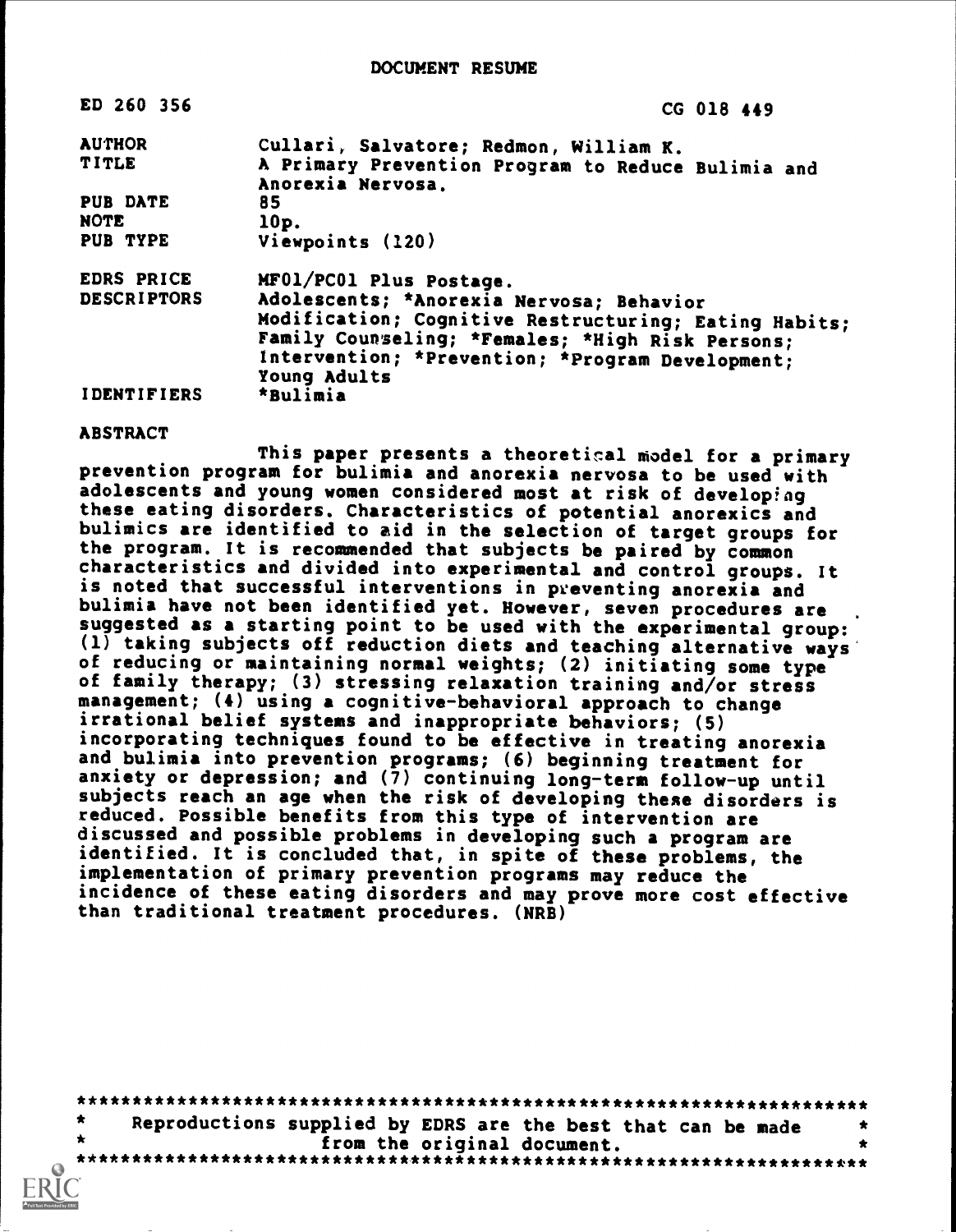| ED 260 356         | CG 018 449                                            |
|--------------------|-------------------------------------------------------|
| <b>AUTHOR</b>      | Cullari, Salvatore; Redmon, William K.                |
| <b>TITLE</b>       | A Primary Prevention Program to Reduce Bulimia and    |
|                    | Anorexia Nervosa.                                     |
| <b>PUB DATE</b>    | 85                                                    |
| <b>NOTE</b>        | 10p.                                                  |
| PUB TYPE           | Viewpoints (120)                                      |
| <b>EDRS PRICE</b>  | MF01/PC01 Plus Postage.                               |
| <b>DESCRIPTORS</b> | Adolescents; *Anorexia Nervosa; Behavior              |
|                    | Modification; Cognitive Restructuring; Eating Habits; |
|                    | Family Counseling; *Females; *High Risk Persons;      |
|                    | Intervention; *Prevention; *Program Development;      |
|                    |                                                       |
|                    | Young Adults                                          |
| <b>IDENTIFIERS</b> | *Bulimia                                              |

## ABSTRACT

This paper presents a theoretical niodel for a primary prevention program for bulimia and anorexia nervosa to be used with adolescents and young women considered most at risk of developing these eating disorders. Characteristics of potential anorexics and bulimics are identified to aid in the selection of target groups for the program. It is recommended that subjects be paired by common characteristics and divided into experimental and control groups. It is noted that successful interventions in preventing anorexia and bulimia have not been identified yet. However, seven procedures are suggested as a starting point to be used with the experimental group: (1) taking subjects off reduction diets and teaching alternative ways of reducing or maintaining normal weights; (2) initiating some type of family therapy; (3) stressing relaxation training and/or stress management; (4) using a cognitive-behavioral approach to change irrational belief systems and inappropriate behaviors; (5) incorporating techniques found to be effective in treating anorexia and bulimia into prevention programs; (6) beginning treatment for anxiety or depression; and (7) continuing long-term follow-up until subjects reach an age when the risk of developing these disorders is reduced. Possible benefits from this type of intervention are discussed and possible problems in developing such a program are identified. It is concluded that, in spite of these problems, the implementation of primary prevention programs may reduce the incidence of these eating disorders and may prove more cost effective than traditional treatment procedures. (NRB)

\*\*\*\*\*\*\*\*\*\*\*\*\*\*\*\*\*\*\*\*\*\*\*\*\*\*\*\*\*\*\*\*\*\*\*\*\*\*\*\*\*\*\*\*\*\*\*\*\*\*\*\*\*\*\*\*\*\*\*\*\*\*\*\*\*\*\*\*\*\*\* Reproductions supplied by EDRS are the best that can be made  $*$ <br>from the original document. from the original document. \*\*\*\*\*\*\*\*\*\*\*\*\*\*\*\*\*\*\*\*\*\*\*\*\*\*\*\*\*\*\*\*\*\*\*\*\*\*\*\*\*\*\*\*\*\*\*\*\*\*\*\*\*\*\*\*\*\*\*\*\*\*\*\*\*\*\*\*\*\*\*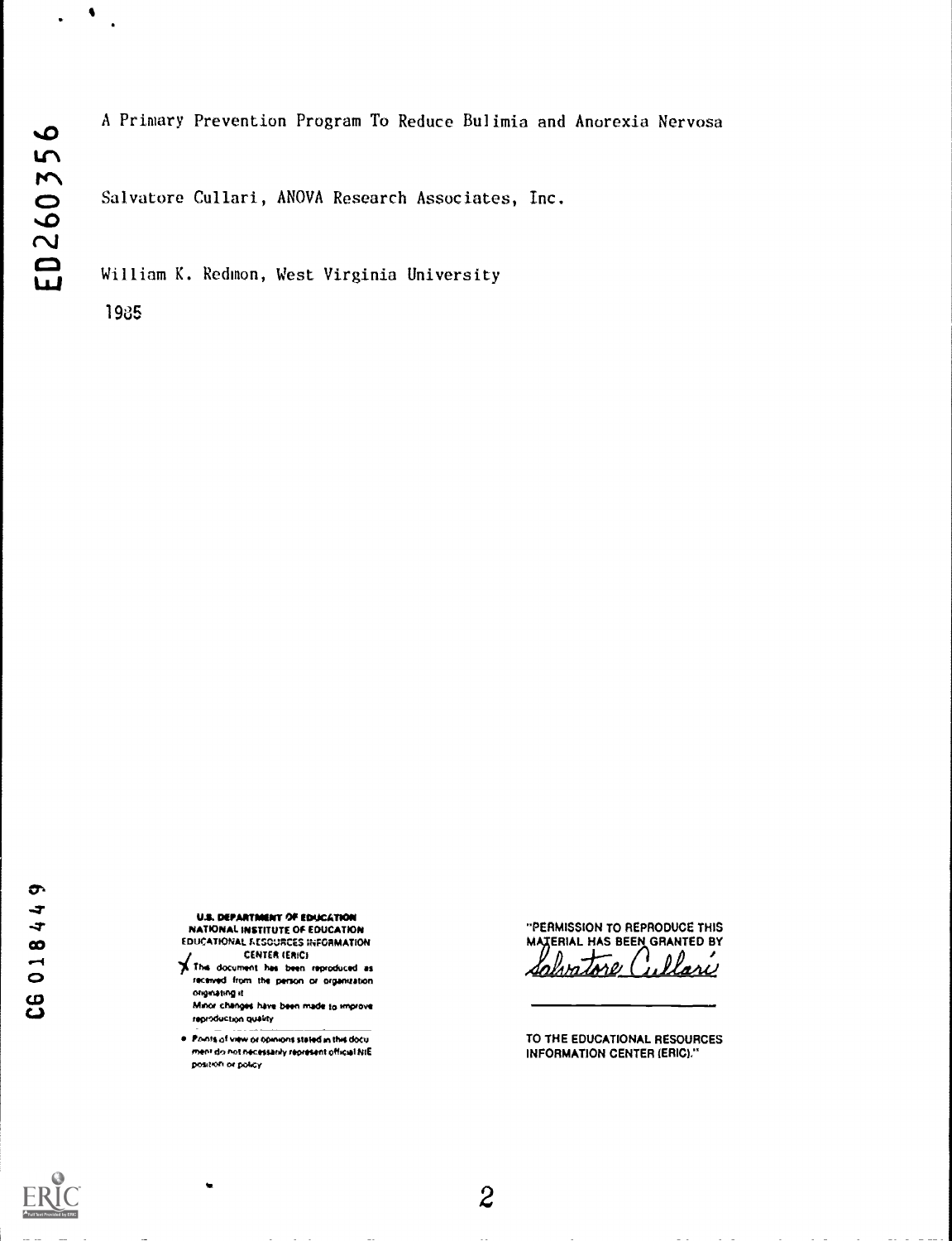$\bullet$ 

 $\bullet$ 

## A Primary Prevention Program To Reduce Bulimia and Anorexia Nervosa

Salvatore Cullari, ANOVA Research Associates, Inc.

William K. Redmon, West Virginia University

1945

...7 U.S. DEPARTMENT Of EDUCATION ...1" NATIONAL INSTITUTE Of EDUCATION EDUCATIONAL FIESCURCES INFORMATION

 $\frac{1}{2}$  This document has been reproduced as received from the person or organization originating it.

Minor changes have been made to improve teproduction quality

e fromts of view or opinions stated in this document do not necessarily represent official NIE position or policy

۰

\*\*PERMISSION TO REPRODUCE THIS MATERIAL HAS BEEN GRANTED BY Salvatore Cullari

TO THE EDUCATIONAL RESOURCES INFORMATION CENTER (ERIC)."

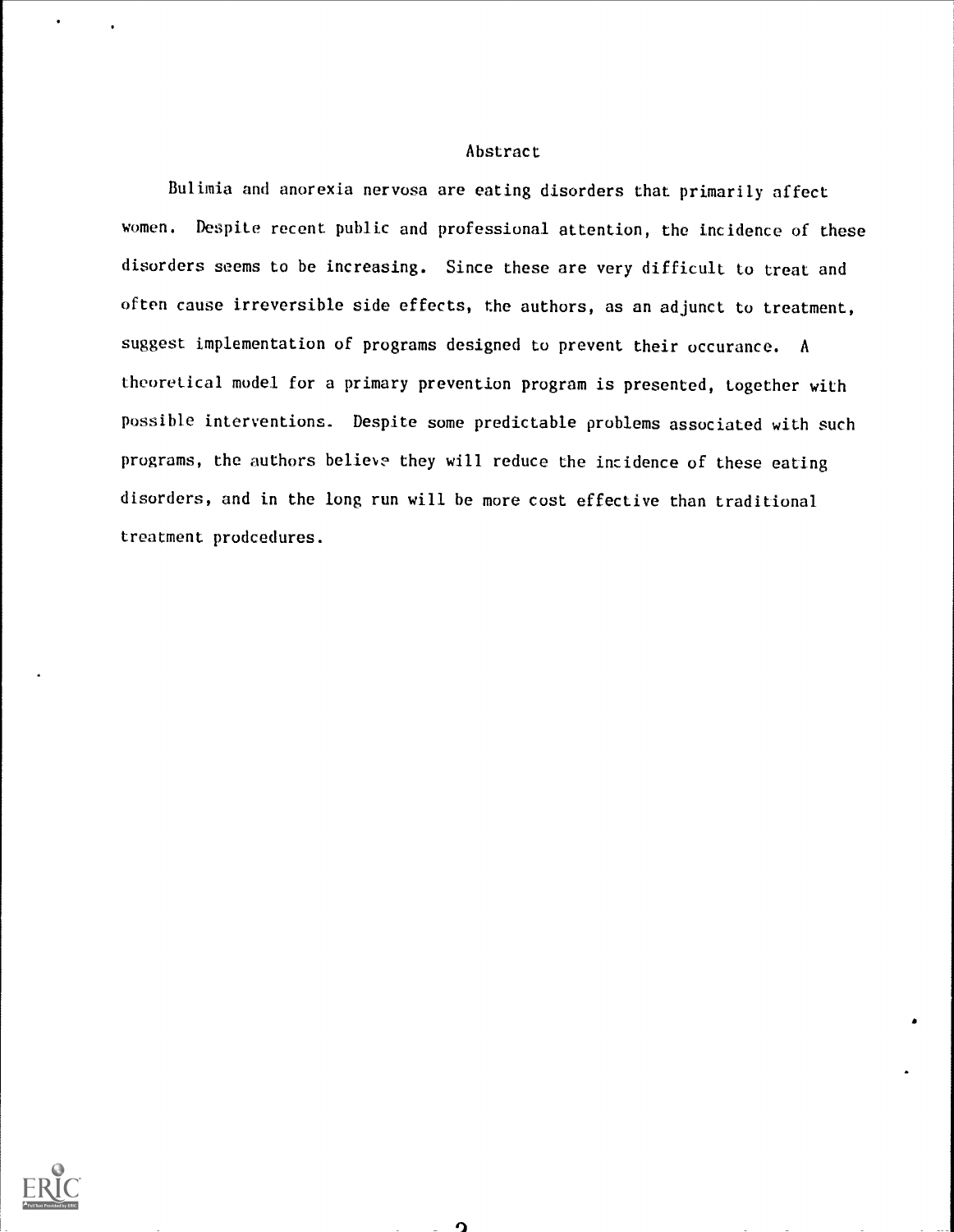## Abstract

Bulimia and anorexia nervosa are eating disorders that primarily affect women. Despite recent public and professional attention, the incidence of these disorders seems to be increasing. Since these are very difficult to treat and often cause irreversible side effects, the authors, as an adjunct to treatment, suggest implementation of programs designed to prevent their occurance. A theoretical model for a primary prevention program is presented, together with possible interventions. Despite some predictable problems associated with such programs, the authors believe they will reduce the incidence of these eating disorders, and in the long run will be more cost effective than traditional treatment prodcedures.

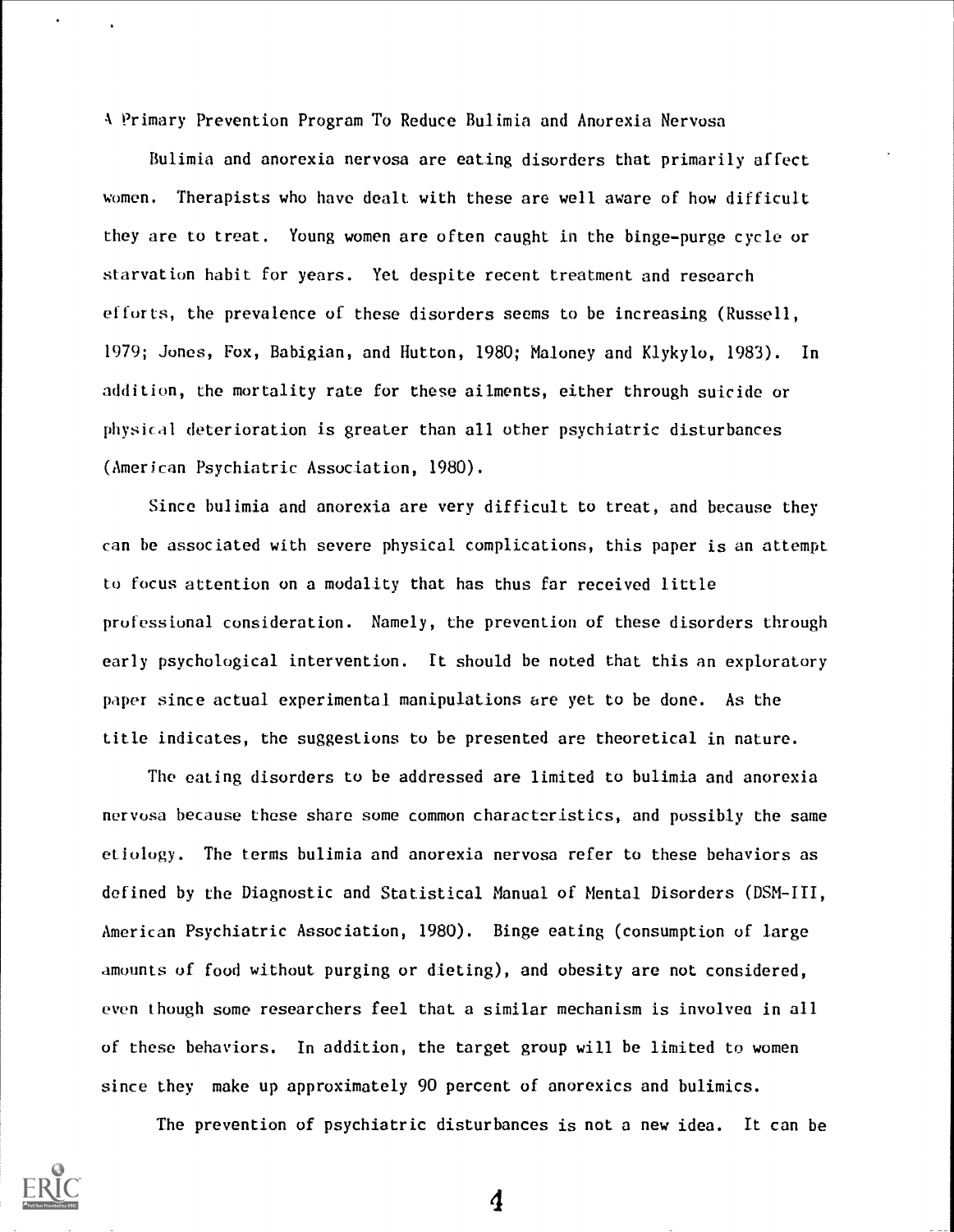A Primary Prevention Program To Reduce Bulimia and Anorexia Nervosa

Bulimia and anorexia nervosa are eating disorders that primarily affect women. Therapists who have dealt with these are well aware of how difficult they are to treat. Young women are often caught in the binge-purge cycle or starvation habit for years. Yet despite recent treatment and research efforts, the prevalence of these disorders seems to be increasing (Russell, 1979; Jones, Fox, Babigian, and Hutton, 1980; Maloney and Klykylo, 1983). In addition, the mortality rate for these ailments, either through suicide or physical deterioration is greater than all other psychiatric disturbances (American Psychiatric Association, 1980).

Since bulimia and anorexia are very difficult to treat, and because they can be associated with severe physical complications, this paper is an attempt to focus attention on a modality that has thus far received little professional consideration. Namely, the prevention of these disorders through early psychological intervention. It should be noted that this an exploratory paper since actual experimental manipulations are yet to be done. As the title indicates, the suggestions to be presented are theoretical in nature.

The eating disorders to be addressed are limited to bulimia and anorexia nervosa because these share some common characteristics, and possibly the same etiology. The terms bulimia and anorexia nervosa refer to these behaviors as defined by the Diagnostic and Statistical Manual of Mental Disorders (DSM-III, American Psychiatric Association, 1980). Binge eating (consumption of large amounts of food without purging or dieting), and obesity are not considered, even though some researchers feel that a similar mechanism is involvea in all of these behaviors. In addition, the target group will be limited to women since they make up approximately 90 percent of anorexics and bulimics.

The prevention of psychiatric disturbances is not a new idea. It can be

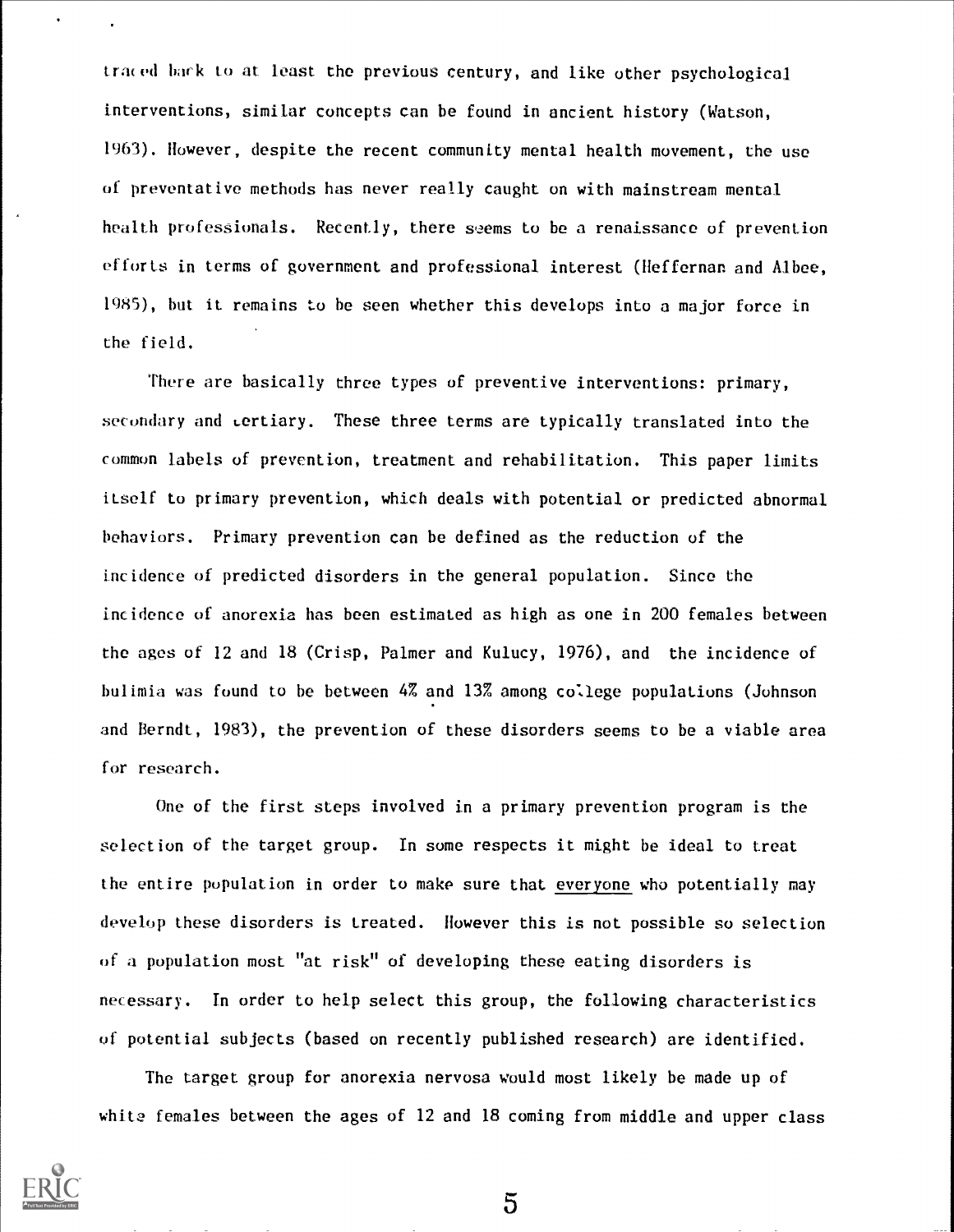traced back to at least the previous century, and like other psychological interventions, similar concepts can be found in ancient history (Watson, 1963). However, despite the recent community mental health movement, the use of preventative methods has never really caught on with mainstream mental health professionals. Recently, there seems to be a renaissance of prevention efforts in terms of government and professional interest (Heffernan and Albee, 1985), but it remains to be seen whether this develops into a major force in the field.

There are basically three types of preventive interventions: primary, secondary and tertiary. These three terms are typically translated into the common labels of prevention, treatment and rehabilitation. This paper limits itself to primary prevention, which deals with potential or predicted abnormal behaviors. Primary prevention can be defined as the reduction of the incidence of predicted disorders in the general population. Since the incidence of anorexia has been estimated as high as one in 200 females between the ages of 12 and 18 (Crisp, Palmer and Kulucy, 1976), and the incidence of bulimia was found to be between 4% and 13% among college populations (Johnson and Berndt, 1983), the prevention of these disorders seems to be a viable area for research.

One of the first steps involved in a primary prevention program is the selection of the target group. In some respects it might be ideal to treat the entire population in order to make sure that everyone who potentially may develop these disorders is treated. However this is not possible so selection of a population most "at risk" of developing these eating disorders is necessary. In order to help select this group, the following characteristics of potential subjects (based on recently published research) are identified.

The target group for anorexia nervosa would most likely be made up of white females between the ages of 12 and 18 coming from middle and upper class



 $\bullet$ 

 $\overline{5}$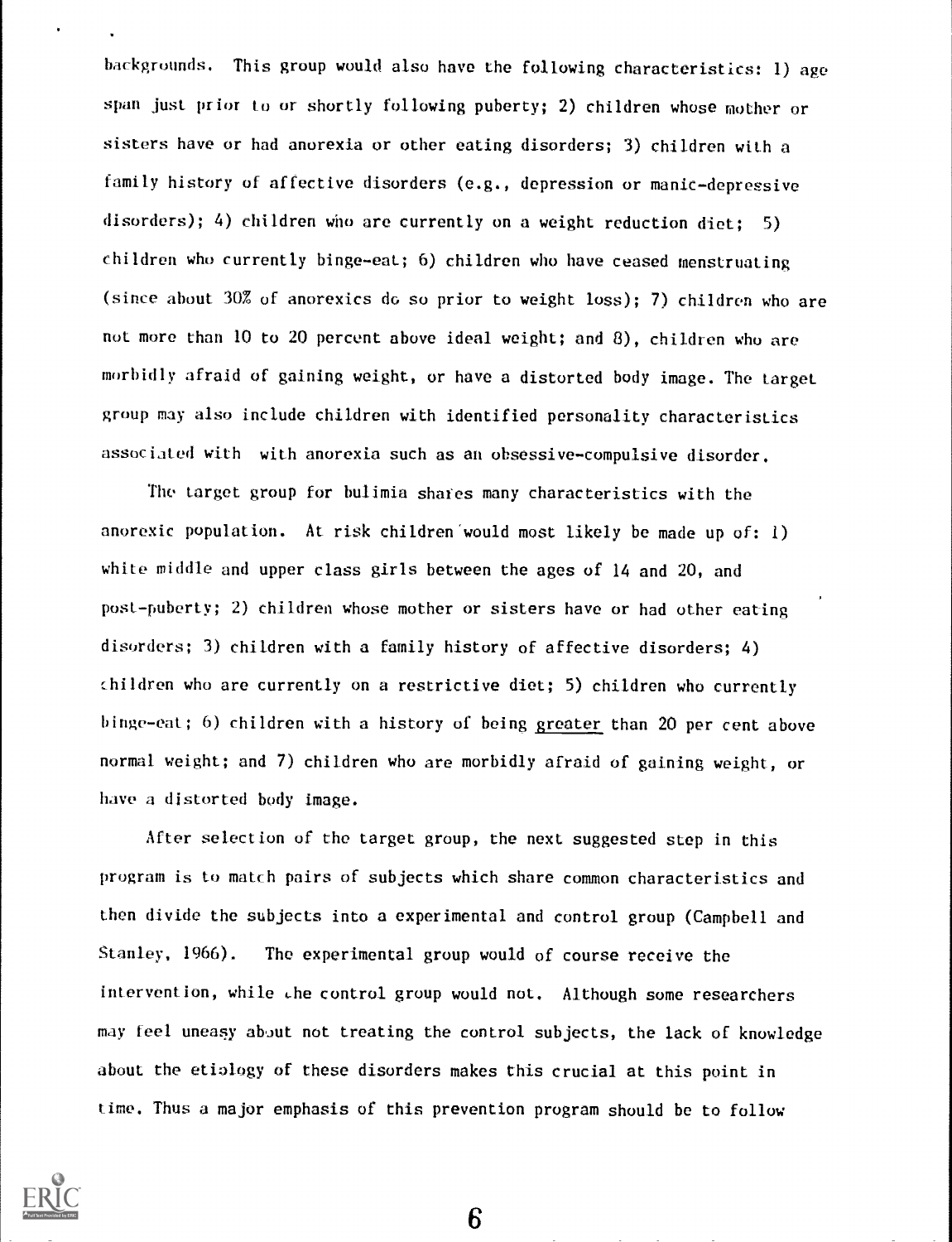backgrounds. This group would also have the following characteristics: 1) age span just prior to or shortly following puberty; 2) children whose mother or sisters have or had anorexia or other eating disorders; 3) children with a family history of affective disorders (e.g., depression or manic-depressive disorders); 4) children who are currently on a weight reduction diet: 5) children who currently binge-eat; 6) children who have ceased menstruating (since about 30% of anorexics do so prior to weight loss); 7) children who are not more than 10 to 20 percent above ideal weight; and 8), children who are morbidly afraid of gaining weight, or have a distorted body image. The target group may also include children with identified personality characteristics associated with with anorexia such as an obsessive-compulsive disorder.

The target group for bulimia shares many characteristics with the anorexic population. At risk children would most likely be made up of: 1) white middle and upper class girls between the ages of 14 and 20, and post-puberty; 2) children whose mother or sisters have or had other eating disorders; 3) children with a family history of affective disorders; 4) children who are currently on a restrictive diet; 5) children who currently binge-eat; 6) children with a history of being greater than 20 per cent above normal weight; and 7) children who are morbidly afraid of gaining weight, or have a distorted body image.

After selection of the target group, the next suggested step in this program is to match pairs of subjects which share common characteristics and then divide the subjects into a experimental and control group (Campbell and Stanley, 1966). The experimental group would of course receive the intervention, while the control group would not. Although some researchers may feel uneasy about not treating the control subjects, the lack of knowledge about the etiology of these disorders makes this crucial at this point in time. Thus a major emphasis of this prevention program should be to follow

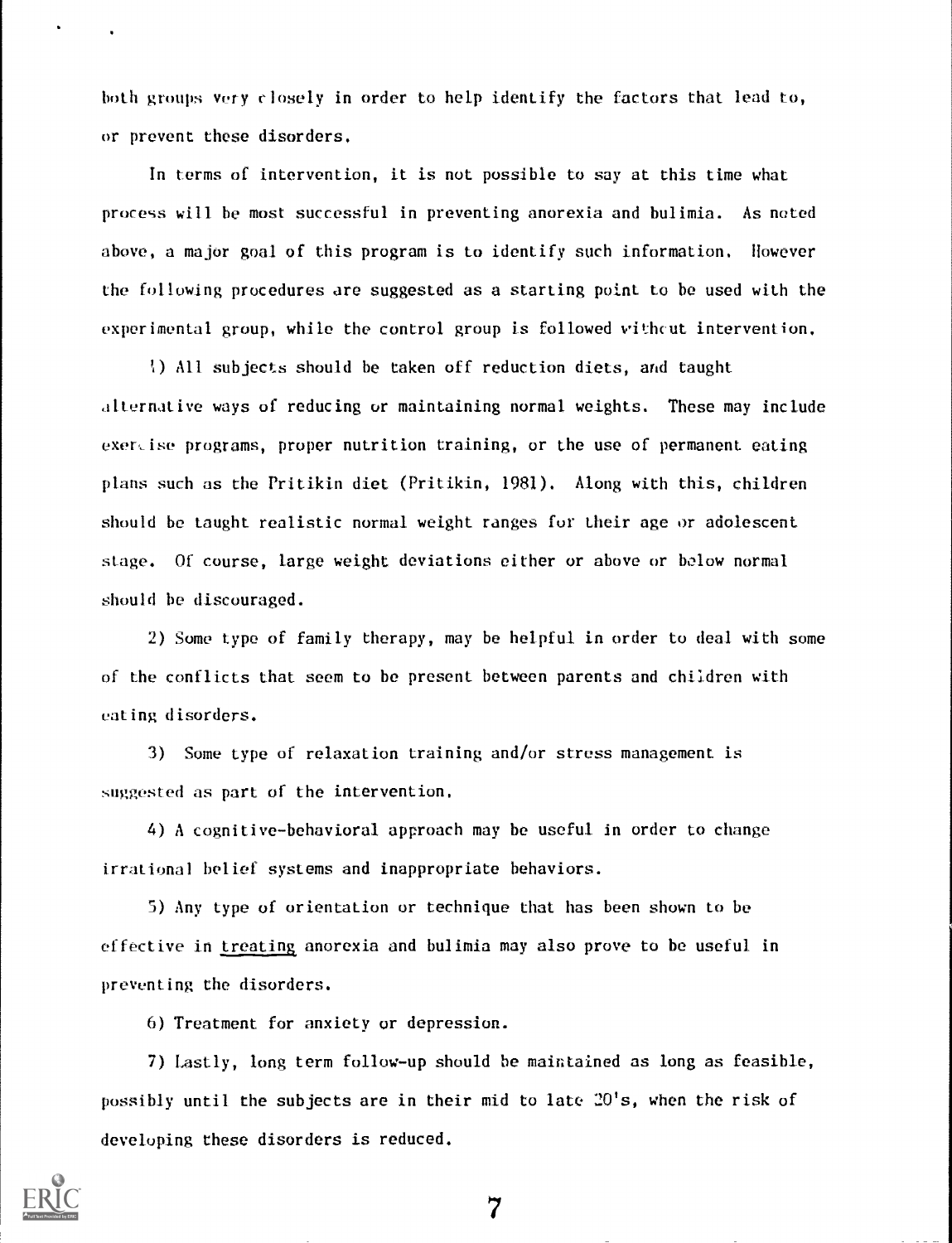both groups very closely in order to help identify the factors that lead to, or prevent these disorders.

In terms of intervention, it is not possible to say at this time what process will be most successful in preventing anorexia and bulimia. As noted above, a major goal of this program is to identify such information. However the following procedures are suggested as a starting point to be used with the experimental group, while the control group is followed vithcut intervention.

All subjects should be taken off reduction diets, and Caught alternative ways of reducing or maintaining normal weights. These may include  $exercises programs, proper nutrition training, or the use of permanent eating$ plans such as the Pritikin diet (Pritikin, 1981). Along with this, children should be taught realistic normal weight ranges fur their age or adolescent stage. Of course, large weight deviations either or above or below normal should be discouraged.

2) Some type of family therapy, may be helpful in order to deal with some of the conflicts that seem to be present between parents and children with eating disorders.

3) Some type of relaxation training and/or stress management is suggested as part of the intervention.

4) A cognitive-behavioral approach may be useful in order to change irrational belief systems and inappropriate behaviors.

5) Any type of orientation or technique that has been shown to be effective in treating anorexia and bulimia may also prove to be useful in preventing the disorders.

6) Treatment for anxiety or depression.

7) Lastly, long term follow-up should be maintained as long as feasible, possibly until the subjects are in their mid to late  $20's$ , when the risk of developing these disorders is reduced.



 $\ddot{\phantom{0}}$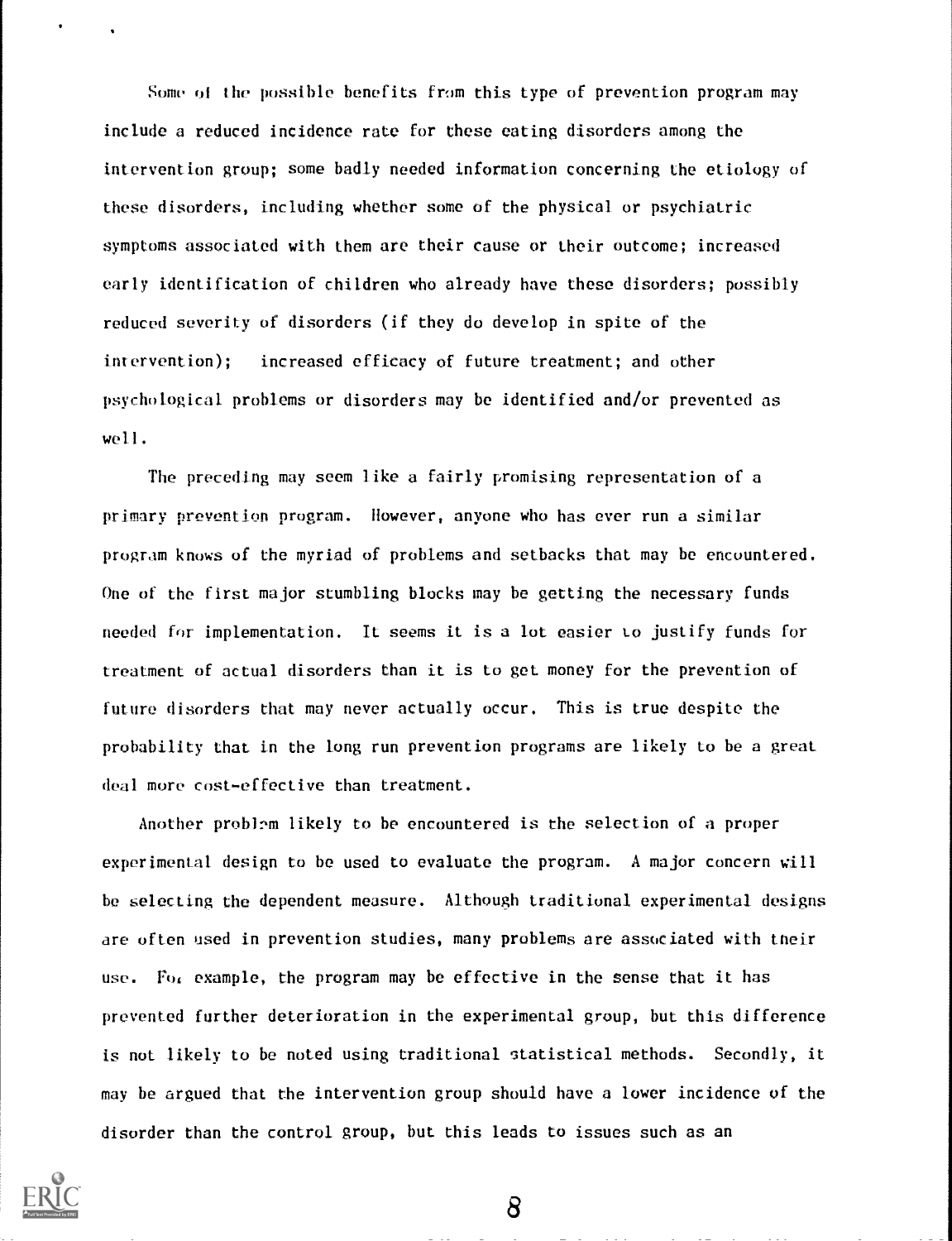Some of the possible benefits from this type of prevention program may include a reduced incidence rate for these eating disorders among the intervention group; some badly needed information concerning the etiology of these disorders, including whether some of the physical or psychiatric symptoms associated with them are their cause or their outcome; increased early identification of children who already have these disorders; possibly reduced severity of disorders (if they do develop in spite of the intervention); increased efficacy of future treatment; and other psychological problems or disorders may be identified and/or prevented as well.

The preceding may seem like a fairly promising representation of a primary prevention program. However, anyone who has ever run a similar program knows of the myriad of problems and setbacks that may be encountered. One of the first major stumbling blocks may be getting the necessary funds needed for implementation. It seems it is a lot easier to justify funds for treatment of actual disorders than it is to get money for the prevention of future disorders that may never actually occur. This is true despite the probability that in the lung run prevention programs are likely to be a great deal more cost-effective than treatment.

Another problem likely to be encountered is the selection of a proper experimental design to be used to evaluate the program. A major concern will be selecting the dependent measure. Although traditional experimental designs are often used in prevention studies, many problems are associated with tneir use. For example, the program may be effective in the sense that it has prevented further deterioration in the experimental group, but this difference is not likely to be noted using traditional statistical methods. Secondly, it may be argued that the intervention group should have a lower incidence of the disorder than the control group, but this leads to issues such as an

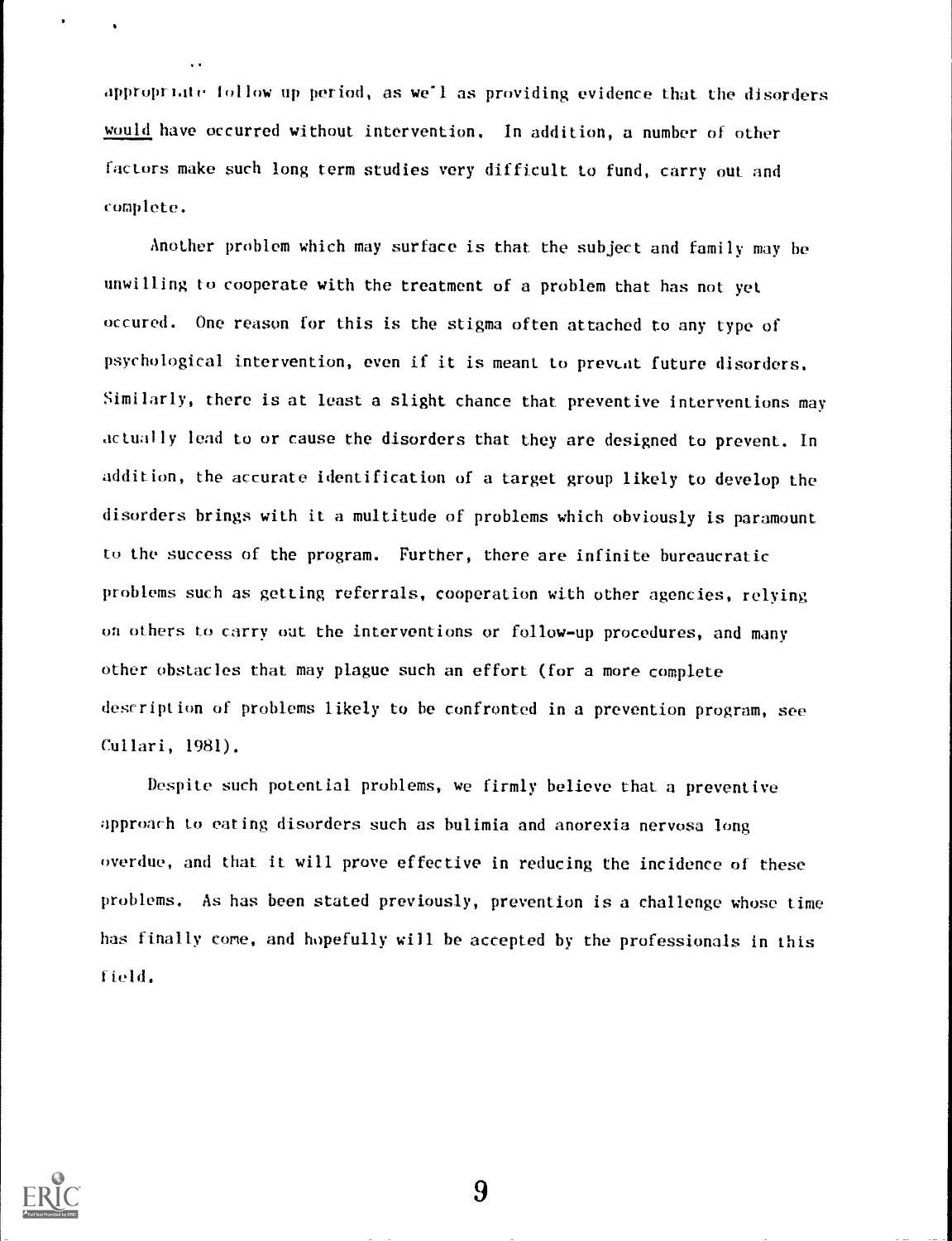appropriate follow up period, as we'l as providing evidence that the disorders would have occurred without intervention. In addition, a number of other factors make such long term studies very difficult to fund, carry out and complete.

Another problem which may surface is that the subject and family may he unwilling to cooperate with the treatment of a problem that has not yet occured. One reason for this is the stigma often attached to any type of psychological intervention, even if it is meant to prevent future disorders. Similarly, there is at least a slight chance that preventive interventions may actually lead to or cause the disorders that they are designed to prevent. In addition, the accurate identification of a target group likely to develop the disorders brings with it a multitude of problems which obviously is paramount to the success of the program. Further, there are infinite bureaucratic problems such as getting referrals, cooperation with other agencies, relying on others to carry out the interventions or follow-up procedures, and many other obstacles that may plague such an effort (for a more complete description of problems likely to be confronted in a prevention program, see Cullari, 1981).

Despite such potential problems, we firmly believe that a preventive approach to eating disorders such as bulimia and anorexia nervosa long overdue, and that it will prove effective in reducing the incidence of these problems. As has been stated previously, prevention is a challenge whose time has finally come, and hopefully will be accepted by the professionals in this field.